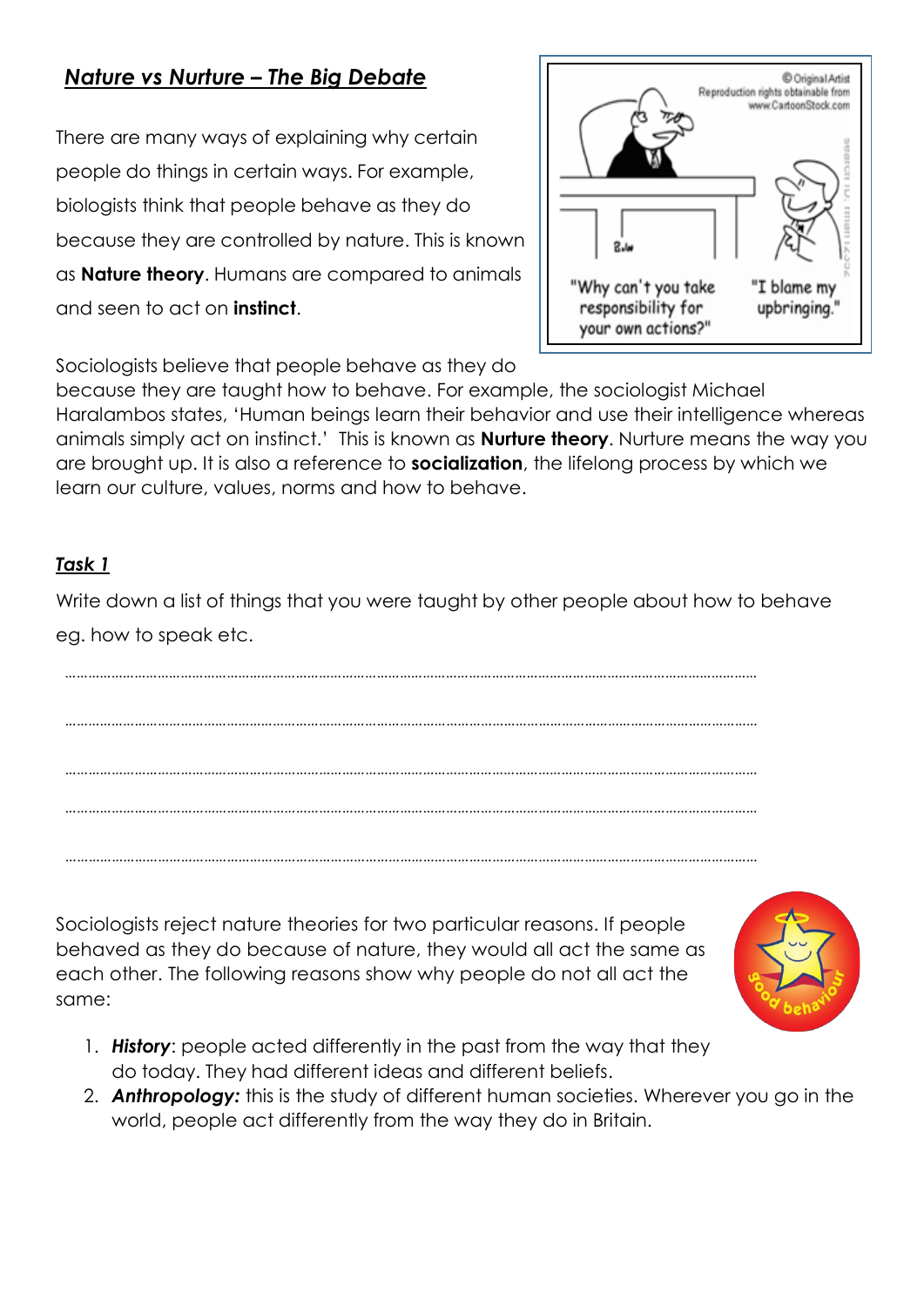# *Nature vs Nurture – The Big Debate*

There are many ways of explaining why certain people do things in certain ways. For example, biologists think that people behave as they do because they are controlled by nature. This is known as **Nature theory**. Humans are compared to animals and seen to act on **instinct**.



Sociologists believe that people behave as they do

because they are taught how to behave. For example, the sociologist Michael Haralambos states, 'Human beings learn their behavior and use their intelligence whereas animals simply act on instinct.' This is known as **Nurture theory**. Nurture means the way you are brought up. It is also a reference to **socialization**, the lifelong process by which we learn our culture, values, norms and how to behave.

### *Task 1*

Write down a list of things that you were taught by other people about how to behave eg. how to speak etc.

Sociologists reject nature theories for two particular reasons. If people behaved as they do because of nature, they would all act the same as each other. The following reasons show why people do not all act the same:



- 1. *History*: people acted differently in the past from the way that they do today. They had different ideas and different beliefs.
- 2. *Anthropology:* this is the study of different human societies. Wherever you go in the world, people act differently from the way they do in Britain.